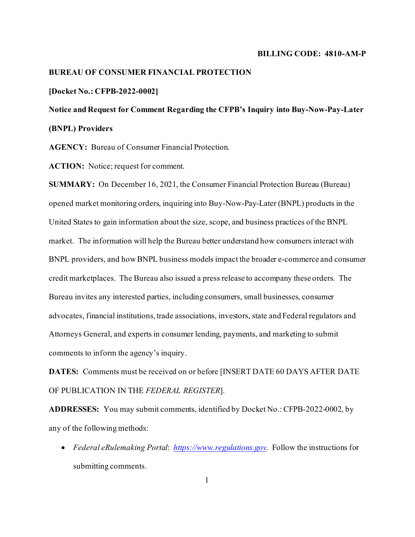#### **BILLING CODE: 4810-AM-P**

## **BUREAU OF CONSUMER FINANCIAL PROTECTION**

### **[Docket No.: CFPB-2022-0002]**

**Notice and Request for Comment Regarding the CFPB's Inquiry into Buy-Now-Pay-Later (BNPL) Providers**

**AGENCY:** Bureau of Consumer Financial Protection.

ACTION: Notice; request for comment.

**SUMMARY:** On December 16, 2021, the Consumer Financial Protection Bureau (Bureau) opened market monitoring orders, inquiring into Buy-Now-Pay-Later (BNPL) products in the United States to gain information about the size, scope, and business practices of the BNPL market. The information will help the Bureau better understand how consumers interact with BNPL providers, and how BNPL business models impact the broader e-commerce and consumer credit marketplaces. The Bureau also issued a press release to accompany these orders. The Bureau invites any interested parties, including consumers, small businesses, consumer advocates, financial institutions, trade associations, investors, state and Federal regulators and Attorneys General, and experts in consumer lending, payments, and marketing to submit comments to inform the agency's inquiry.

**DATES:** Comments must be received on or before [INSERT DATE 60 DAYS AFTER DATE OF PUBLICATION IN THE *FEDERAL REGISTER*].

**ADDRESSES:** You may submit comments, identified by Docket No.: CFPB-2022-0002, by any of the following methods:

• *Federal eRulemaking Portal*: *[https://www.regulations.gov](https://www.regulations.gov/)*. Follow the instructions for submitting comments.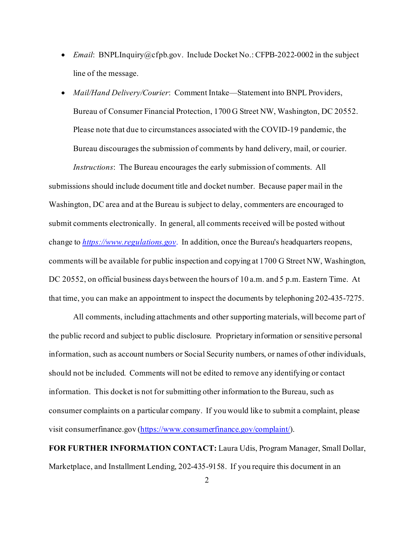- *Email*: BNPLInquiry@cfpb.gov. Include Docket No.: CFPB-2022-0002 in the subject line of the message.
- *Mail/Hand Delivery/Courier*: Comment Intake—Statement into BNPL Providers, Bureau of Consumer Financial Protection, 1700 G Street NW, Washington, DC 20552. Please note that due to circumstances associated with the COVID-19 pandemic, the Bureau discourages the submission of comments by hand delivery, mail, or courier. *Instructions*: The Bureau encourages the early submission of comments. All submissions should include document title and docket number. Because paper mail in the Washington, DC area and at the Bureau is subject to delay, commenters are encouraged to submit comments electronically. In general, all comments received will be posted without change to *[https://www.regulations.gov](https://www.regulations.gov/)*. In addition, once the Bureau's headquarters reopens, comments will be available for public inspection and copying at 1700 G Street NW, Washington, DC 20552, on official business days between the hours of 10 a.m. and 5 p.m. Eastern Time. At that time, you can make an appointment to inspect the documents by telephoning 202-435-7275.

All comments, including attachments and other supporting materials, will become part of the public record and subject to public disclosure. Proprietary information or sensitive personal information, such as account numbers or Social Security numbers, or names of other individuals, should not be included. Comments will not be edited to remove any identifying or contact information. This docket is not for submitting other information to the Bureau, such as consumer complaints on a particular company. If you would like to submit a complaint, please visit consumerfinance.gov [\(https://www.consumerfinance.gov/complaint/](https://www.consumerfinance.gov/complaint/)).

**FOR FURTHER INFORMATION CONTACT:** Laura Udis, Program Manager, Small Dollar, Marketplace, and Installment Lending, 202-435-9158. If you require this document in an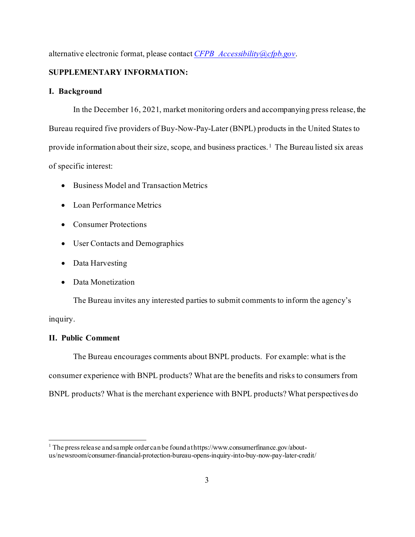alternative electronic format, please contact *[CFPB\\_Accessibility@cfpb.gov](mailto:CFPB_Accessibility@cfpb.gov)*.

# **SUPPLEMENTARY INFORMATION:**

## **I. Background**

In the December 16, 2021, market monitoring orders and accompanying press release, the Bureau required five providers of Buy-Now-Pay-Later (BNPL) products in the United States to provide information about their size, scope, and business practices.[1](#page-2-0) The Bureau listed six areas of specific interest:

- Business Model and Transaction Metrics
- Loan Performance Metrics
- Consumer Protections
- User Contacts and Demographics
- Data Harvesting
- Data Monetization

The Bureau invites any interested parties to submit comments to inform the agency's inquiry.

# **II. Public Comment**

The Bureau encourages comments about BNPL products. For example: what is the consumer experience with BNPL products? What are the benefits and risks to consumers from BNPL products? What is the merchant experience with BNPL products? What perspectives do

<span id="page-2-0"></span><sup>&</sup>lt;sup>1</sup> The press release and sample order can be found at https://www.consumerfinance.gov/aboutus/newsroom/consumer-financial-protection-bureau-opens-inquiry-into-buy-now-pay-later-credit/